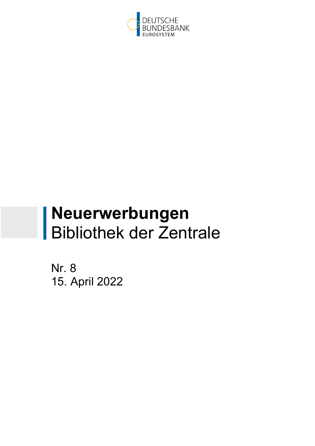

# **Neuerwerbungen**  Bibliothek der Zentrale

Nr. 8 15. April 2022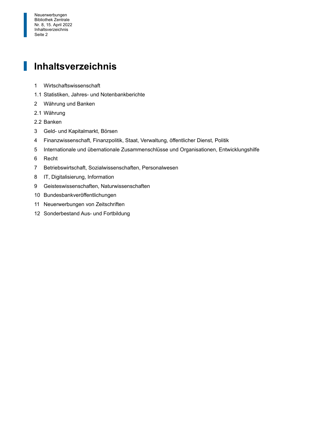Nr. 8, 15. April 2022<br>
Inhaltsverzeichnis<br>
Seite 2 Neuerwerbungen Bibliothek Zentrale Inhaltsverzeichnis Seite 2

#### 1 **Inhaltsverzeichnis**

- 1 Wirtschaftswissenschaft
- 1.1 Statistiken, Jahres- und Notenbankberichte
- 2 Währung und Banken
- 2.1 Währung

I

- 2.2 Banken
- 3 Geld- und Kapitalmarkt, Börsen
- 4 Finanzwissenschaft, Finanzpolitik, Staat, Verwaltung, öffentlicher Dienst, Politik
- 5 Internationale und übernationale Zusammenschlüsse und Organisationen, Entwicklungshilfe
- 6 Recht
- 7 Betriebswirtschaft, Sozialwissenschaften, Personalwesen
- 8 IT, Digitalisierung, Information
- 9 Geisteswissenschaften, Naturwissenschaften
- 10 Bundesbankveröffentlichungen
- 11 Neuerwerbungen von Zeitschriften
- 12 Sonderbestand Aus- und Fortbildung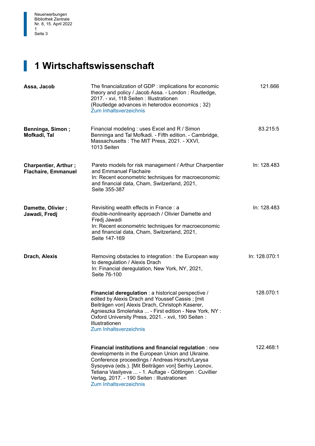#### **1 Wirtschaftswissenschaft**

| Assa, Jacob                                               | The financialization of GDP : implications for economic<br>theory and policy / Jacob Assa. - London: Routledge,<br>2017. - xvi, 118 Seiten : Illustrationen<br>(Routledge advances in heterodox economics ; 32)<br>Zum Inhaltsverzeichnis                                                                                                             | 121.666       |
|-----------------------------------------------------------|-------------------------------------------------------------------------------------------------------------------------------------------------------------------------------------------------------------------------------------------------------------------------------------------------------------------------------------------------------|---------------|
| <b>Benninga, Simon;</b><br>Mofkadi, Tal                   | Financial modeling : uses Excel and R / Simon<br>Benninga and Tal Mofkadi. - Fifth edition. - Cambridge,<br>Massachusetts: The MIT Press, 2021. - XXVI,<br>1013 Seiten                                                                                                                                                                                | 83.215:5      |
| <b>Charpentier, Arthur;</b><br><b>Flachaire, Emmanuel</b> | Pareto models for risk management / Arthur Charpentier<br>and Emmanuel Flachaire<br>In: Recent econometric techniques for macroeconomic<br>and financial data, Cham, Switzerland, 2021,<br>Seite 355-387                                                                                                                                              | In: 128.483   |
| Damette, Olivier;<br>Jawadi, Fredj                        | Revisiting wealth effects in France: a<br>double-nonlinearity approach / Olivier Damette and<br>Fredj Jawadi<br>In: Recent econometric techniques for macroeconomic<br>and financial data, Cham, Switzerland, 2021,<br>Seite 147-169                                                                                                                  | In: 128.483   |
| Drach, Alexis                                             | Removing obstacles to integration: the European way<br>to deregulation / Alexis Drach<br>In: Financial deregulation, New York, NY, 2021,<br>Seite 76-100                                                                                                                                                                                              | In: 128.070:1 |
|                                                           | Financial deregulation : a historical perspective /<br>edited by Alexis Drach and Youssef Cassis; [mit<br>Beiträgen von] Alexis Drach, Christoph Kaserer,<br>Agnieszka Smoleńska  - First edition - New York, NY :<br>Oxford University Press, 2021. - xvii, 190 Seiten:<br>Illustrationen<br>Zum Inhaltsverzeichnis                                  | 128.070:1     |
|                                                           | Financial institutions and financial regulation : new<br>developments in the European Union and Ukraine.<br>Conference proceedings / Andreas Horsch/Larysa<br>Sysoyeva (eds.). [Mit Beiträgen von] Serhiy Leonov,<br>Tetiana Vasilyeva  - 1. Auflage - Göttingen : Cuvillier<br>Verlag, 2017. - 190 Seiten : Illustrationen<br>Zum Inhaltsverzeichnis | 122.468:1     |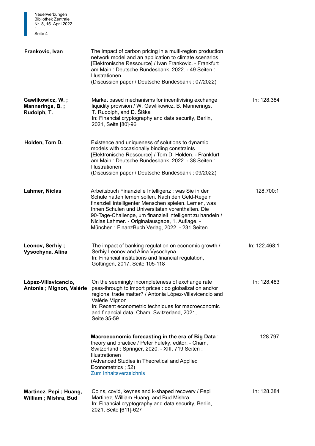| <b>Bibliothek Zentrale</b><br>Nr. 8, 15. April 2022<br>1<br>Seite 4 |                                                                                                                                                                                                                                                                                                                                                                                            |               |
|---------------------------------------------------------------------|--------------------------------------------------------------------------------------------------------------------------------------------------------------------------------------------------------------------------------------------------------------------------------------------------------------------------------------------------------------------------------------------|---------------|
| Frankovic, Ivan                                                     | The impact of carbon pricing in a multi-region production<br>network model and an application to climate scenarios<br>[Elektronische Ressource] / Ivan Frankovic. - Frankfurt<br>am Main: Deutsche Bundesbank, 2022. - 49 Seiten:<br>Illustrationen<br>(Discussion paper / Deutsche Bundesbank; 07/2022)                                                                                   |               |
| Gawlikowicz, W.;<br>Mannerings, B.;<br>Rudolph, T.                  | Market based mechanisms for incentivising exchange<br>liquidity provision / W. Gawlikowicz, B. Mannerings,<br>T. Rudolph, and D. Šiška<br>In: Financial cryptography and data security, Berlin,<br>2021, Seite [80]-96                                                                                                                                                                     | In: 128.384   |
| Holden, Tom D.                                                      | Existence and uniqueness of solutions to dynamic<br>models with occasionally binding constraints<br>[Elektronische Ressource] / Tom D. Holden. - Frankfurt<br>am Main: Deutsche Bundesbank, 2022. - 38 Seiten:<br>Illustrationen<br>(Discussion paper / Deutsche Bundesbank; 09/2022)                                                                                                      |               |
| Lahmer, Niclas                                                      | Arbeitsbuch Finanzielle Intelligenz : was Sie in der<br>Schule hätten lernen sollen. Nach den Geld-Regeln<br>finanziell intelligenter Menschen spielen. Lernen, was<br>Ihnen Schulen und Universitäten vorenthalten. Die<br>90-Tage-Challenge, um finanziell intelligent zu handeln /<br>Niclas Lahmer. - Originalausgabe, 1. Auflage. -<br>München: FinanzBuch Verlag, 2022. - 231 Seiten | 128.700:1     |
| Leonov, Serhiy;<br>Vysochyna, Alina                                 | The impact of banking regulation on economic growth /<br>Serhiy Leonov and Alina Vysochyna<br>In: Financial institutions and financial regulation,<br>Göttingen, 2017, Seite 105-118                                                                                                                                                                                                       | In: 122.468:1 |
| López-Villavicencio,<br>Antonia ; Mignon, Valérie                   | On the seemingly incompleteness of exchange rate<br>pass-through to import prices : do globalization and/or<br>regional trade matter? / Antonia López-Villavicencio and<br>Valérie Mignon<br>In: Recent econometric techniques for macroeconomic<br>and financial data, Cham, Switzerland, 2021,<br>Seite 35-59                                                                            | In: 128.483   |
|                                                                     | Macroeconomic forecasting in the era of Big Data:<br>theory and practice / Peter Fuleky, editor. - Cham,<br>Switzerland: Springer, 2020. - XIII, 719 Seiten:<br>Illustrationen<br>(Advanced Studies in Theoretical and Applied<br>Econometrics; 52)<br>Zum Inhaltsverzeichnis                                                                                                              | 128.797       |
| Martinez, Pepi; Huang,<br>William; Mishra, Bud                      | Coins, covid, keynes and k-shaped recovery / Pepi<br>Martinez, William Huang, and Bud Mishra<br>In: Financial cryptography and data security, Berlin,<br>2021, Seite [611]-627                                                                                                                                                                                                             | In: 128.384   |

Neuerwerbungen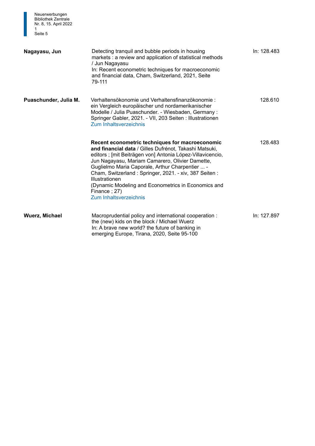| Neuerwerbungen<br><b>Bibliothek Zentrale</b><br>Nr. 8, 15. April 2022<br>1.<br>Seite 5 |                                                                                                                                                                                                                                                                                                                                                                                                                                                                  |             |
|----------------------------------------------------------------------------------------|------------------------------------------------------------------------------------------------------------------------------------------------------------------------------------------------------------------------------------------------------------------------------------------------------------------------------------------------------------------------------------------------------------------------------------------------------------------|-------------|
| Nagayasu, Jun                                                                          | Detecting tranquil and bubble periods in housing<br>markets : a review and application of statistical methods<br>/ Jun Nagayasu<br>In: Recent econometric techniques for macroeconomic<br>and financial data, Cham, Switzerland, 2021, Seite<br>79-111                                                                                                                                                                                                           | In: 128.483 |
| Puaschunder, Julia M.                                                                  | Verhaltensökonomie und Verhaltensfinanzökonomie:<br>ein Vergleich europäischer und nordamerikanischer<br>Modelle / Julia Puaschunder. - Wiesbaden, Germany:<br>Springer Gabler, 2021. - VII, 203 Seiten : Illustrationen<br><b>Zum Inhaltsverzeichnis</b>                                                                                                                                                                                                        | 128.610     |
|                                                                                        | Recent econometric techniques for macroeconomic<br>and financial data / Gilles Dufrénot, Takashi Matsuki,<br>editors ; [mit Beiträgen von] Antonia López-Villavicencio,<br>Jun Nagayasu, Mariam Camarero, Olivier Damette,<br>Guglielmo Maria Caporale, Arthur Charpentier  -<br>Cham, Switzerland: Springer, 2021. - xiv, 387 Seiten:<br>Illustrationen<br>(Dynamic Modeling and Econometrics in Economics and<br>Finance; 27)<br><b>Zum Inhaltsverzeichnis</b> | 128.483     |
| <b>Wuerz, Michael</b>                                                                  | Macroprudential policy and international cooperation:<br>the (new) kids on the block / Michael Wuerz<br>In: A brave new world? the future of banking in<br>emerging Europe, Tirana, 2020, Seite 95-100                                                                                                                                                                                                                                                           | In: 127.897 |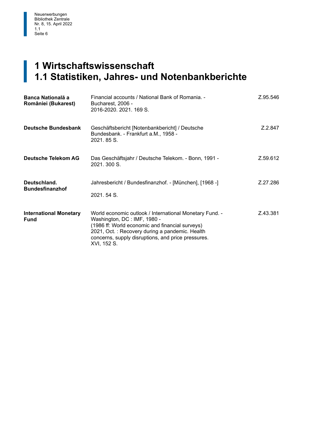#### $\begin{bmatrix} 1 \\ 1 \end{bmatrix}$ **1 Wirtschaftswissenschaft 1.1 Statistiken, Jahres- und Notenbankberichte**

| <b>Banca Natională a</b><br>României (Bukarest) | Financial accounts / National Bank of Romania. -<br>Bucharest, 2006 -<br>2016-2020. 2021. 169 S.                                                                                                                                                                 | Z.95.546 |
|-------------------------------------------------|------------------------------------------------------------------------------------------------------------------------------------------------------------------------------------------------------------------------------------------------------------------|----------|
| Deutsche Bundesbank                             | Geschäftsbericht [Notenbankbericht] / Deutsche<br>Bundesbank. - Frankfurt a.M., 1958 -<br>2021.85 S.                                                                                                                                                             | Z 2.847  |
| Deutsche Telekom AG                             | Das Geschäftsjahr / Deutsche Telekom. - Bonn, 1991 -<br>2021, 300 S.                                                                                                                                                                                             | Z.59.612 |
| Deutschland.<br><b>Bundesfinanzhof</b>          | Jahresbericht / Bundesfinanzhof. - [München], [1968 -]<br>2021, 54 S.                                                                                                                                                                                            | Z.27.286 |
| <b>International Monetary</b><br><b>Fund</b>    | World economic outlook / International Monetary Fund. -<br>Washington, DC: IMF, 1980 -<br>(1986 ff: World economic and financial surveys)<br>2021, Oct.: Recovery during a pandemic. Health<br>concerns, supply disruptions, and price pressures.<br>XVI, 152 S. | Z.43.381 |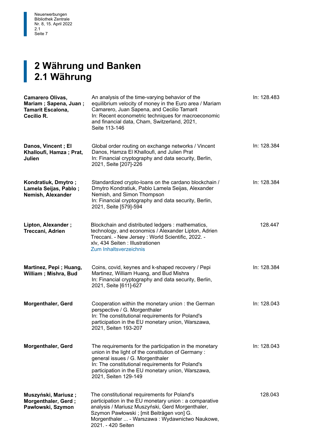## **2 Währung und Banken<br>2.1 Währung 2.1 Währung**

| <b>Camarero Olivas,</b><br>Mariam; Sapena, Juan;<br><b>Tamarit Escalona,</b><br>Cecilio R. | An analysis of the time-varying behavior of the<br>equilibrium velocity of money in the Euro area / Mariam<br>Camarero, Juan Sapena, and Cecilio Tamarit<br>In: Recent econometric techniques for macroeconomic<br>and financial data, Cham, Switzerland, 2021,<br>Seite 113-146  | In: 128.483 |
|--------------------------------------------------------------------------------------------|-----------------------------------------------------------------------------------------------------------------------------------------------------------------------------------------------------------------------------------------------------------------------------------|-------------|
| Danos, Vincent; El<br>Khalloufi, Hamza; Prat,<br>Julien                                    | Global order routing on exchange networks / Vincent<br>Danos, Hamza El Khalloufi, and Julien Prat<br>In: Financial cryptography and data security, Berlin,<br>2021, Seite [207]-226                                                                                               | In: 128.384 |
| Kondratiuk, Dmytro;<br>Lamela Seijas, Pablo;<br>Nemish, Alexander                          | Standardized crypto-loans on the cardano blockchain /<br>Dmytro Kondratiuk, Pablo Lamela Seijas, Alexander<br>Nemish, and Simon Thompson<br>In: Financial cryptography and data security, Berlin,<br>2021, Seite [579]-594                                                        | In: 128.384 |
| Lipton, Alexander;<br>Treccani, Adrien                                                     | Blockchain and distributed ledgers: mathematics,<br>technology, and economics / Alexander Lipton, Adrien<br>Treccani. - New Jersey: World Scientific, 2022. -<br>xlv, 434 Seiten : Illustrationen<br>Zum Inhaltsverzeichnis                                                       | 128.447     |
| Martinez, Pepi; Huang,<br>William; Mishra, Bud                                             | Coins, covid, keynes and k-shaped recovery / Pepi<br>Martinez, William Huang, and Bud Mishra<br>In: Financial cryptography and data security, Berlin,<br>2021, Seite [611]-627                                                                                                    | In: 128.384 |
| <b>Morgenthaler, Gerd</b>                                                                  | Cooperation within the monetary union : the German<br>perspective / G. Morgenthaler<br>In: The constitutional requirements for Poland's<br>participation in the EU monetary union, Warszawa,<br>2021, Seiten 193-207                                                              | In: 128.043 |
| <b>Morgenthaler, Gerd</b>                                                                  | The requirements for the participation in the monetary<br>union in the light of the constitution of Germany:<br>general issues / G. Morgenthaler<br>In: The constitutional requirements for Poland's<br>participation in the EU monetary union, Warszawa,<br>2021, Seiten 129-149 | In: 128.043 |
| Muszyński, Mariusz;<br>Morgenthaler, Gerd;<br>Pawłowski, Szymon                            | The constitutional requirements for Poland's<br>participation in the EU monetary union : a comparative<br>analysis / Mariusz Muszyński, Gerd Morgenthaler,<br>Szymon Pawłowski ; [mit Beiträgen von] G.<br>Morgenthaler  - Warszawa : Wydawnictwo Naukowe,<br>2021. - 420 Seiten  | 128.043     |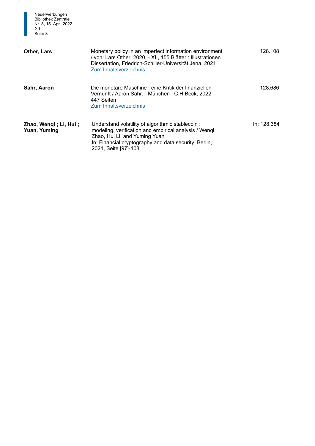

| Other, Lars                           | Monetary policy in an imperfect information environment<br>/ von: Lars Other, 2020. - XII, 155 Blätter : Illustrationen<br>Dissertation, Friedrich-Schiller-Universität Jena, 2021<br>Zum Inhaltsverzeichnis                | 128.108     |
|---------------------------------------|-----------------------------------------------------------------------------------------------------------------------------------------------------------------------------------------------------------------------------|-------------|
| Sahr, Aaron                           | Die monetäre Maschine : eine Kritik der finanziellen.<br>Vernunft / Aaron Sahr. - München : C.H.Beck, 2022. -<br>447 Seiten<br>Zum Inhaltsverzeichnis                                                                       | 128.686     |
| Zhao, Wengi; Li, Hui;<br>Yuan, Yuming | Understand volatility of algorithmic stablecoin:<br>modeling, verification and empirical analysis / Wenqi<br>Zhao, Hui Li, and Yuming Yuan<br>In: Financial cryptography and data security, Berlin,<br>2021, Seite [97]-108 | In: 128.384 |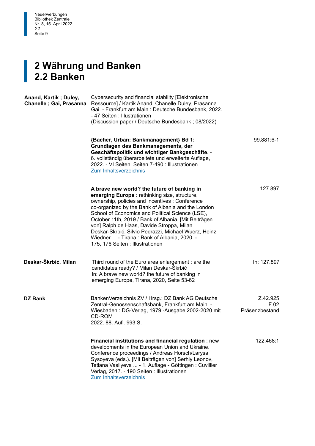

### **2 Währung und Banken<br>2.2 Banken 2.2 Banken**

| Anand, Kartik; Duley,<br>Chanelle ; Gai, Prasanna | Cybersecurity and financial stability [Elektronische<br>Ressource] / Kartik Anand, Chanelle Duley, Prasanna<br>Gai. - Frankfurt am Main: Deutsche Bundesbank, 2022.<br>- 47 Seiten : Illustrationen<br>(Discussion paper / Deutsche Bundesbank; 08/2022)                                                                                                                                                                                                                                                         |                                    |
|---------------------------------------------------|------------------------------------------------------------------------------------------------------------------------------------------------------------------------------------------------------------------------------------------------------------------------------------------------------------------------------------------------------------------------------------------------------------------------------------------------------------------------------------------------------------------|------------------------------------|
|                                                   | {Bacher, Urban: Bankmanagement} Bd 1:<br>Grundlagen des Bankmanagements, der<br>Geschäftspolitik und wichtiger Bankgeschäfte. -<br>6. vollständig überarbeitete und erweiterte Auflage,<br>2022. - VI Seiten, Seiten 7-490 : Illustrationen<br><b>Zum Inhaltsverzeichnis</b>                                                                                                                                                                                                                                     | 99.881:6-1                         |
|                                                   | A brave new world? the future of banking in<br><b>emerging Europe</b> : rethinking size, structure,<br>ownership, policies and incentives : Conference<br>co-organized by the Bank of Albania and the London<br>School of Economics and Political Science (LSE),<br>October 11th, 2019 / Bank of Albania. [Mit Beiträgen<br>von] Ralph de Haas, Davide Stroppa, Milan<br>Deskar-Škrbić, Silvio Pedrazzi, Michael Wuerz, Heinz<br>Wiedner  - Tirana: Bank of Albania, 2020. -<br>175, 176 Seiten : Illustrationen | 127.897                            |
| Deskar-Škrbić, Milan                              | Third round of the Euro area enlargement : are the<br>candidates ready? / Milan Deskar-Škrbić<br>In: A brave new world? the future of banking in<br>emerging Europe, Tirana, 2020, Seite 53-62                                                                                                                                                                                                                                                                                                                   | In: 127.897                        |
| <b>DZ Bank</b>                                    | BankenVerzeichnis ZV / Hrsg.: DZ Bank AG Deutsche<br>Zentral-Genossenschaftsbank, Frankfurt am Main. -<br>Wiesbaden: DG-Verlag, 1979 -Ausgabe 2002-2020 mit<br>CD-ROM<br>2022, 88, Aufl, 993 S.                                                                                                                                                                                                                                                                                                                  | Z.42.925<br>F 02<br>Präsenzbestand |
|                                                   | Financial institutions and financial regulation : new<br>developments in the European Union and Ukraine.<br>Conference proceedings / Andreas Horsch/Larysa<br>Sysoyeva (eds.). [Mit Beiträgen von] Serhiy Leonov,<br>Tetiana Vasilyeva  - 1. Auflage - Göttingen : Cuvillier<br>Verlag, 2017. - 190 Seiten : Illustrationen<br>Zum Inhaltsverzeichnis                                                                                                                                                            | 122.468:1                          |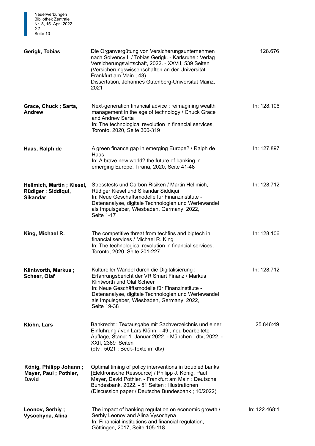| Gerigk, Tobias                                                      | Die Organvergütung von Versicherungsunternehmen<br>nach Solvency II / Tobias Gerigk. - Karlsruhe: Verlag<br>Versicherungswirtschaft, 2022. - XXVII, 539 Seiten<br>(Versicherungswissenschaften an der Universität<br>Frankfurt am Main; 43)<br>Dissertation, Johannes Gutenberg-Universität Mainz,<br>2021 | 128.676       |
|---------------------------------------------------------------------|------------------------------------------------------------------------------------------------------------------------------------------------------------------------------------------------------------------------------------------------------------------------------------------------------------|---------------|
| Grace, Chuck; Sarta,<br>Andrew                                      | Next-generation financial advice: reimagining wealth<br>management in the age of technology / Chuck Grace<br>and Andrew Sarta<br>In: The technological revolution in financial services,<br>Toronto, 2020, Seite 300-319                                                                                   | In: 128.106   |
| Haas, Ralph de                                                      | A green finance gap in emerging Europe? / Ralph de<br>Haas<br>In: A brave new world? the future of banking in<br>emerging Europe, Tirana, 2020, Seite 41-48                                                                                                                                                | In: 127.897   |
| Hellmich, Martin; Kiesel,<br>Rüdiger ; Siddiqui,<br><b>Sikandar</b> | Stresstests und Carbon Risiken / Martin Hellmich,<br>Rüdiger Kiesel und Sikandar Siddiqui<br>In: Neue Geschäftsmodelle für Finanzinstitute -<br>Datenanalyse, digitale Technologien und Wertewandel<br>als Impulsgeber, Wiesbaden, Germany, 2022,<br>Seite 1-17                                            | In: 128.712   |
| King, Michael R.                                                    | The competitive threat from techfins and bigtech in<br>financial services / Michael R. King<br>In: The technological revolution in financial services,<br>Toronto, 2020, Seite 201-227                                                                                                                     | In: 128.106   |
| Klintworth, Markus;<br>Scheer, Olaf                                 | Kultureller Wandel durch die Digitalisierung:<br>Erfahrungsbericht der VR Smart Finanz / Markus<br>Klintworth und Olaf Scheer<br>In: Neue Geschäftsmodelle für Finanzinstitute -<br>Datenanalyse, digitale Technologien und Wertewandel<br>als Impulsgeber, Wiesbaden, Germany, 2022,<br>Seite 19-38       | In: 128.712   |
| Klöhn, Lars                                                         | Bankrecht: Textausgabe mit Sachverzeichnis und einer<br>Einführung / von Lars Klöhn. - 49., neu bearbeitete<br>Auflage, Stand: 1. Januar 2022. - München: dtv, 2022. -<br>XXII, 2389 Seiten<br>(dtv; 5021 : Beck-Texte im dtv)                                                                             | 25.846:49     |
| König, Philipp Johann;<br>Mayer, Paul; Pothier,<br><b>David</b>     | Optimal timing of policy interventions in troubled banks<br>[Elektronische Ressource] / Philipp J. König, Paul<br>Mayer, David Pothier. - Frankfurt am Main: Deutsche<br>Bundesbank, 2022. - 51 Seiten : Illustrationen<br>(Discussion paper / Deutsche Bundesbank; 10/2022)                               |               |
| Leonov, Serhiy;<br>Vysochyna, Alina                                 | The impact of banking regulation on economic growth /<br>Serhiy Leonov and Alina Vysochyna<br>In: Financial institutions and financial regulation,<br>Göttingen, 2017, Seite 105-118                                                                                                                       | In: 122.468:1 |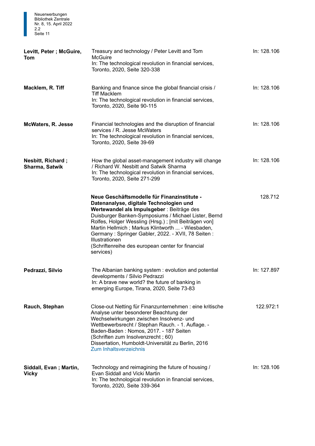

| Levitt, Peter; McGuire,<br>Tom         | Treasury and technology / Peter Levitt and Tom<br><b>McGuire</b><br>In: The technological revolution in financial services,<br>Toronto, 2020, Seite 320-338                                                                                                                                                                                                                                                                                        | In: 128.106 |
|----------------------------------------|----------------------------------------------------------------------------------------------------------------------------------------------------------------------------------------------------------------------------------------------------------------------------------------------------------------------------------------------------------------------------------------------------------------------------------------------------|-------------|
| Macklem, R. Tiff                       | Banking and finance since the global financial crisis /<br><b>Tiff Macklem</b><br>In: The technological revolution in financial services,<br>Toronto, 2020, Seite 90-115                                                                                                                                                                                                                                                                           | In: 128.106 |
| <b>McWaters, R. Jesse</b>              | Financial technologies and the disruption of financial<br>services / R. Jesse McWaters<br>In: The technological revolution in financial services,<br>Toronto, 2020, Seite 39-69                                                                                                                                                                                                                                                                    | In: 128.106 |
| Nesbitt, Richard;<br>Sharma, Satwik    | How the global asset-management industry will change<br>/ Richard W. Nesbitt and Satwik Sharma<br>In: The technological revolution in financial services,<br>Toronto, 2020, Seite 271-299                                                                                                                                                                                                                                                          | In: 128.106 |
|                                        | Neue Geschäftsmodelle für Finanzinstitute -<br>Datenanalyse, digitale Technologien und<br>Wertewandel als Impulsgeber : Beiträge des<br>Duisburger Banken-Symposiums / Michael Lister, Bernd<br>Rolfes, Holger Wessling (Hrsg.); [mit Beiträgen von]<br>Martin Hellmich; Markus Klintworth  - Wiesbaden,<br>Germany: Springer Gabler, 2022. - XVII, 78 Seiten:<br>Illustrationen<br>(Schriftenreihe des european center for financial<br>services) | 128.712     |
| Pedrazzi, Silvio                       | The Albanian banking system: evolution and potential<br>developments / Silvio Pedrazzi<br>In: A brave new world? the future of banking in<br>emerging Europe, Tirana, 2020, Seite 73-83                                                                                                                                                                                                                                                            | In: 127.897 |
| Rauch, Stephan                         | Close-out Netting für Finanzunternehmen : eine kritische<br>Analyse unter besonderer Beachtung der<br>Wechselwirkungen zwischen Insolvenz- und<br>Wettbewerbsrecht / Stephan Rauch. - 1. Auflage. -<br>Baden-Baden: Nomos, 2017. - 187 Seiten<br>(Schriften zum Insolvenzrecht; 60)<br>Dissertation, Humboldt-Universität zu Berlin, 2016<br>Zum Inhaltsverzeichnis                                                                                | 122.972:1   |
| Siddall, Evan; Martin,<br><b>Vicky</b> | Technology and reimagining the future of housing /<br>Evan Siddall and Vicki Martin<br>In: The technological revolution in financial services,<br>Toronto, 2020, Seite 339-364                                                                                                                                                                                                                                                                     | In: 128.106 |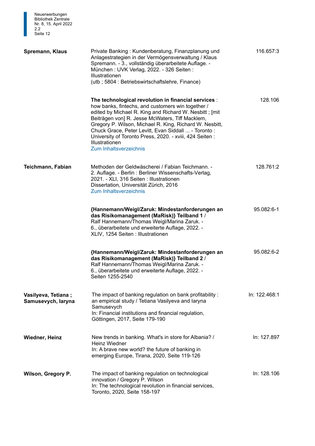| <b>DIDIJOURK ZENTRAJE</b><br>Nr. 8, 15. April 2022<br>2.2<br>Seite 12 |                                                                                                                                                                                                                                                                                                                                                                                                                                                         |               |
|-----------------------------------------------------------------------|---------------------------------------------------------------------------------------------------------------------------------------------------------------------------------------------------------------------------------------------------------------------------------------------------------------------------------------------------------------------------------------------------------------------------------------------------------|---------------|
| Spremann, Klaus                                                       | Private Banking: Kundenberatung, Finanzplanung und<br>Anlagestrategien in der Vermögensverwaltung / Klaus<br>Spremann. - 3., vollständig überarbeitete Auflage. -<br>München: UVK Verlag, 2022. - 326 Seiten:<br>Illustrationen<br>(utb; 5804: Betriebswirtschaftslehre, Finance)                                                                                                                                                                       | 116.657:3     |
|                                                                       | The technological revolution in financial services :<br>how banks, fintechs, and customers win together /<br>edited by Michael R. King and Richard W. Nesbitt; [mit]<br>Beiträgen von] R. Jesse McWaters, Tiff Macklem,<br>Gregory P. Wilson, Michael R. King, Richard W. Nesbitt,<br>Chuck Grace, Peter Levitt, Evan Siddall  - Toronto:<br>University of Toronto Press, 2020. - xviii, 424 Seiten:<br>Illustrationen<br><b>Zum Inhaltsverzeichnis</b> | 128.106       |
| Teichmann, Fabian                                                     | Methoden der Geldwäscherei / Fabian Teichmann. -<br>2. Auflage. - Berlin : Berliner Wissenschafts-Verlag,<br>2021. - XLI, 316 Seiten : Illustrationen<br>Dissertation, Universität Zürich, 2016<br><b>Zum Inhaltsverzeichnis</b>                                                                                                                                                                                                                        | 128.761:2     |
|                                                                       | {Hannemann/Weigl/Zaruk: Mindestanforderungen an<br>das Risikomanagement (MaRisk)} Teilband 1 /<br>Ralf Hannemann/Thomas Weigl/Marina Zaruk. -<br>6., überarbeitete und erweiterte Auflage, 2022. -<br>XLIV, 1254 Seiten : Illustrationen                                                                                                                                                                                                                | 95.082:6-1    |
|                                                                       | {Hannemann/Weigl/Zaruk: Mindestanforderungen an<br>das Risikomanagement (MaRisk)} Teilband 2 /<br>Ralf Hannemann/Thomas Weigl/Marina Zaruk. -<br>6., überarbeitete und erweiterte Auflage, 2022. -<br>Seiten 1255-2540                                                                                                                                                                                                                                  | 95.082:6-2    |
| Vasilyeva, Tetiana;<br>Samusevych, laryna                             | The impact of banking regulation on bank profitability:<br>an empirical study / Tetiana Vasilyeva and laryna<br>Samusevych<br>In: Financial institutions and financial regulation,<br>Göttingen, 2017, Seite 179-190                                                                                                                                                                                                                                    | In: 122.468:1 |
| <b>Wiedner, Heinz</b>                                                 | New trends in banking. What's in store for Albania? /<br>Heinz Wiedner<br>In: A brave new world? the future of banking in<br>emerging Europe, Tirana, 2020, Seite 119-126                                                                                                                                                                                                                                                                               | In: 127.897   |
| Wilson, Gregory P.                                                    | The impact of banking regulation on technological<br>innovation / Gregory P. Wilson<br>In: The technological revolution in financial services,<br>Toronto, 2020, Seite 158-197                                                                                                                                                                                                                                                                          | In: 128.106   |

Neuerwerbungen Bibliothek Zentrale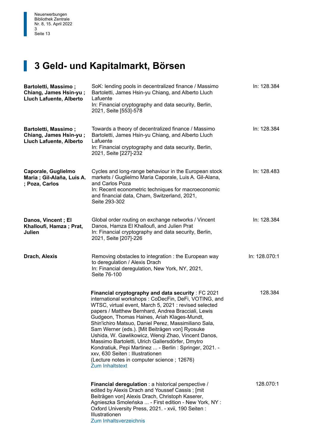## **3 Geld- und Kapitalmarkt, Börsen**

| <b>Bartoletti, Massimo;</b><br>Chiang, James Hsin-yu;<br>Lluch Lafuente, Alberto | SoK: lending pools in decentralized finance / Massimo<br>Bartoletti, James Hsin-yu Chiang, and Alberto Lluch<br>Lafuente<br>In: Financial cryptography and data security, Berlin,<br>2021, Seite [553]-578                                                                                                                                                                                                                                                                                                                                                                                                                                                          | In: 128.384   |
|----------------------------------------------------------------------------------|---------------------------------------------------------------------------------------------------------------------------------------------------------------------------------------------------------------------------------------------------------------------------------------------------------------------------------------------------------------------------------------------------------------------------------------------------------------------------------------------------------------------------------------------------------------------------------------------------------------------------------------------------------------------|---------------|
| <b>Bartoletti, Massimo;</b><br>Chiang, James Hsin-yu;<br>Lluch Lafuente, Alberto | Towards a theory of decentralized finance / Massimo<br>Bartoletti, James Hsin-yu Chiang, and Alberto Lluch<br>Lafuente<br>In: Financial cryptography and data security, Berlin,<br>2021, Seite [227]-232                                                                                                                                                                                                                                                                                                                                                                                                                                                            | In: 128.384   |
| Caporale, Guglielmo<br>Maria ; Gil-Alaña, Luis A.<br>; Poza, Carlos              | Cycles and long-range behaviour in the European stock<br>markets / Guglielmo Maria Caporale, Luis A. Gil-Alana,<br>and Carlos Poza<br>In: Recent econometric techniques for macroeconomic<br>and financial data, Cham, Switzerland, 2021,<br>Seite 293-302                                                                                                                                                                                                                                                                                                                                                                                                          | In: 128.483   |
| Danos, Vincent; El<br>Khalloufi, Hamza; Prat,<br>Julien                          | Global order routing on exchange networks / Vincent<br>Danos, Hamza El Khalloufi, and Julien Prat<br>In: Financial cryptography and data security, Berlin,<br>2021, Seite [207]-226                                                                                                                                                                                                                                                                                                                                                                                                                                                                                 | In: 128.384   |
| Drach, Alexis                                                                    | Removing obstacles to integration: the European way<br>to deregulation / Alexis Drach<br>In: Financial deregulation, New York, NY, 2021,<br>Seite 76-100                                                                                                                                                                                                                                                                                                                                                                                                                                                                                                            | In: 128.070:1 |
|                                                                                  | Financial cryptography and data security : FC 2021<br>international workshops: CoDecFin, DeFi, VOTING, and<br>WTSC, virtual event, March 5, 2021 : revised selected<br>papers / Matthew Bernhard, Andrea Bracciali, Lewis<br>Gudgeon, Thomas Haines, Ariah Klages-Mundt,<br>Shin'ichiro Matsuo, Daniel Perez, Massimiliano Sala,<br>Sam Werner (eds.). [Mit Beiträgen von] Ryosuke<br>Ushida, W. Gawlikowicz, Wenqi Zhao, Vincent Danos,<br>Massimo Bartoletti, Ulrich Gallersdörfer, Dmytro<br>Kondratiuk, Pepi Martinez  - Berlin : Springer, 2021. -<br>xxv, 630 Seiten : Illustrationen<br>(Lecture notes in computer science; 12676)<br><b>Zum Inhaltstext</b> | 128.384       |
|                                                                                  | <b>Financial deregulation</b> : a historical perspective /<br>edited by Alexis Drach and Youssef Cassis; [mit<br>Beiträgen von] Alexis Drach, Christoph Kaserer,<br>Agnieszka Smoleńska  - First edition - New York, NY :<br>Oxford University Press, 2021. - xvii, 190 Seiten:<br><b>Illustrationen</b><br><b>Zum Inhaltsverzeichnis</b>                                                                                                                                                                                                                                                                                                                           | 128.070:1     |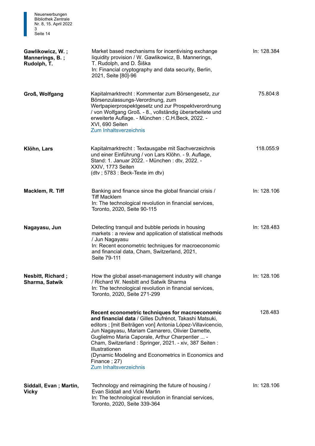| Neuerwerbungen<br><b>Bibliothek Zentrale</b><br>Nr. 8, 15. April 2022<br>3<br>Seite 14 |                                                                                                                                                                                                                                                                                                                                                                                                                                                                  |             |
|----------------------------------------------------------------------------------------|------------------------------------------------------------------------------------------------------------------------------------------------------------------------------------------------------------------------------------------------------------------------------------------------------------------------------------------------------------------------------------------------------------------------------------------------------------------|-------------|
| Gawlikowicz, W.;<br>Mannerings, B.;<br>Rudolph, T.                                     | Market based mechanisms for incentivising exchange<br>liquidity provision / W. Gawlikowicz, B. Mannerings,<br>T. Rudolph, and D. Šiška<br>In: Financial cryptography and data security, Berlin,<br>2021, Seite [80]-96                                                                                                                                                                                                                                           | In: 128.384 |
| Groß, Wolfgang                                                                         | Kapitalmarktrecht: Kommentar zum Börsengesetz, zur<br>Börsenzulassungs-Verordnung, zum<br>Wertpapierprospektgesetz und zur Prospektverordnung<br>/ von Wolfgang Groß. - 8., vollständig überarbeitete und<br>erweiterte Auflage. - München: C.H.Beck, 2022. -<br>XVI, 690 Seiten<br>Zum Inhaltsverzeichnis                                                                                                                                                       | 75.804:8    |
| Klöhn, Lars                                                                            | Kapitalmarktrecht: Textausgabe mit Sachverzeichnis<br>und einer Einführung / von Lars Klöhn. - 9. Auflage,<br>Stand: 1. Januar 2022. - München: dtv, 2022. -<br>XXIV, 1773 Seiten<br>(dtv; 5783 : Beck-Texte im dtv)                                                                                                                                                                                                                                             | 118.055:9   |
| Macklem, R. Tiff                                                                       | Banking and finance since the global financial crisis /<br><b>Tiff Macklem</b><br>In: The technological revolution in financial services,<br>Toronto, 2020, Seite 90-115                                                                                                                                                                                                                                                                                         | In: 128.106 |
| Nagayasu, Jun                                                                          | Detecting tranquil and bubble periods in housing<br>markets : a review and application of statistical methods<br>/ Jun Nagayasu<br>In: Recent econometric techniques for macroeconomic<br>and financial data, Cham, Switzerland, 2021,<br>Seite 79-111                                                                                                                                                                                                           | In: 128.483 |
| <b>Nesbitt, Richard;</b><br>Sharma, Satwik                                             | How the global asset-management industry will change<br>/ Richard W. Nesbitt and Satwik Sharma<br>In: The technological revolution in financial services,<br>Toronto, 2020, Seite 271-299                                                                                                                                                                                                                                                                        | In: 128.106 |
|                                                                                        | Recent econometric techniques for macroeconomic<br>and financial data / Gilles Dufrénot, Takashi Matsuki,<br>editors ; [mit Beiträgen von] Antonia López-Villavicencio,<br>Jun Nagayasu, Mariam Camarero, Olivier Damette,<br>Guglielmo Maria Caporale, Arthur Charpentier  -<br>Cham, Switzerland: Springer, 2021. - xiv, 387 Seiten:<br><b>Illustrationen</b><br>(Dynamic Modeling and Econometrics in Economics and<br>Finance; 27)<br>Zum Inhaltsverzeichnis | 128.483     |
| Siddall, Evan; Martin,<br><b>Vicky</b>                                                 | Technology and reimagining the future of housing /<br>Evan Siddall and Vicki Martin<br>In: The technological revolution in financial services,<br>Toronto, 2020, Seite 339-364                                                                                                                                                                                                                                                                                   | In: 128.106 |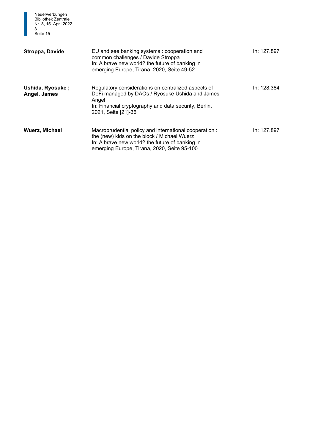| Neuerwerbungen<br><b>Bibliothek Zentrale</b><br>Nr. 8, 15. April 2022<br>3<br>Seite 15 |                                                                                                                                                                                                        |             |
|----------------------------------------------------------------------------------------|--------------------------------------------------------------------------------------------------------------------------------------------------------------------------------------------------------|-------------|
| Stroppa, Davide                                                                        | EU and see banking systems : cooperation and<br>common challenges / Davide Stroppa<br>In: A brave new world? the future of banking in<br>emerging Europe, Tirana, 2020, Seite 49-52                    | In: 127.897 |
| Ushida, Ryosuke;<br>Angel, James                                                       | Regulatory considerations on centralized aspects of<br>DeFi managed by DAOs / Ryosuke Ushida and James<br>Angel<br>In: Financial cryptography and data security, Berlin,<br>2021, Seite [21]-36        | In: 128.384 |
| <b>Wuerz, Michael</b>                                                                  | Macroprudential policy and international cooperation:<br>the (new) kids on the block / Michael Wuerz<br>In: A brave new world? the future of banking in<br>emerging Europe, Tirana, 2020, Seite 95-100 | In: 127.897 |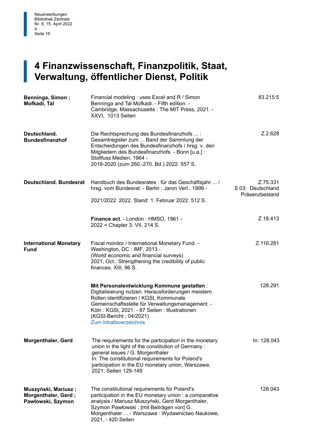#### $\begin{bmatrix} 4 \\ V_1 \end{bmatrix}$ **4 Finanzwissenschaft, Finanzpolitik, Staat, Verwaltung, öffentlicher Dienst, Politik**

| Benninga, Simon;<br>Mofkadi, Tal                                | Financial modeling: uses Excel and R / Simon<br>Benninga and Tal Mofkadi. - Fifth edition. -<br>Cambridge, Massachusetts: The MIT Press, 2021. -<br>XXVI, 1013 Seiten                                                                                                                                  | 83.215:5                                        |
|-----------------------------------------------------------------|--------------------------------------------------------------------------------------------------------------------------------------------------------------------------------------------------------------------------------------------------------------------------------------------------------|-------------------------------------------------|
| Deutschland.<br><b>Bundesfinanzhof</b>                          | Die Rechtsprechung des Bundesfinanzhofs  :<br>Gesamtregister zum  Band der Sammlung der<br>Entscheidungen des Bundesfinanzhofs / hrsg. v. den<br>Mitgliedern des Bundesfinanzhofs. - Bonn [u.a.] :<br>Stollfuss Medien, 1964 -<br>2018-2020 (zum 260.-270. Bd.) 2022. 557 S.                           | Z.2.628                                         |
| <b>Deutschland. Bundesrat</b>                                   | Handbuch des Bundesrates : für das Geschäftsjahr  /<br>hrsg. vom Bundesrat. - Berlin: Jaron Verl., 1999 -<br>2021/2022, 2022, Stand: 1, Februar 2022, 512 S.                                                                                                                                           | Z.75.331<br>S 03: Deutschland<br>Präsenzbestand |
|                                                                 | Finance act. - London: HMSO, 1961 -<br>2022 = Chapter 3. VII, 214 S.                                                                                                                                                                                                                                   | Z.18.413                                        |
| <b>International Monetary</b><br><b>Fund</b>                    | Fiscal monitor / International Monetary Fund. -<br>Washington, DC: IMF, 2013 -<br>(World economic and financial surveys)<br>2021, Oct.: Strengthening the credibility of public<br>finances. XIII, 96 S.                                                                                               | Z.116.281                                       |
|                                                                 | Mit Personalentwicklung Kommune gestalten:<br>Digitalisierung nutzen. Herausforderungen meistern.<br>Rollen identifizieren / KGSt, Kommunale<br>Gemeinschaftsstelle für Verwaltungsmanagement. -<br>Köln: KGSt, 2021. - 87 Seiten: Illustrationen<br>(KGSt-Bericht; 04/2021)<br>Zum Inhaltsverzeichnis | 128.291                                         |
| <b>Morgenthaler, Gerd</b>                                       | The requirements for the participation in the monetary<br>union in the light of the constitution of Germany:<br>general issues / G. Morgenthaler<br>In: The constitutional requirements for Poland's<br>participation in the EU monetary union, Warszawa,<br>2021, Seiten 129-149                      | In: 128.043                                     |
| Muszyński, Mariusz;<br>Morgenthaler, Gerd;<br>Pawłowski, Szymon | The constitutional requirements for Poland's<br>participation in the EU monetary union : a comparative<br>analysis / Mariusz Muszyński, Gerd Morgenthaler,<br>Szymon Pawłowski ; [mit Beiträgen von] G.<br>Morgenthaler  - Warszawa : Wydawnictwo Naukowe,<br>2021. - 420 Seiten                       | 128.043                                         |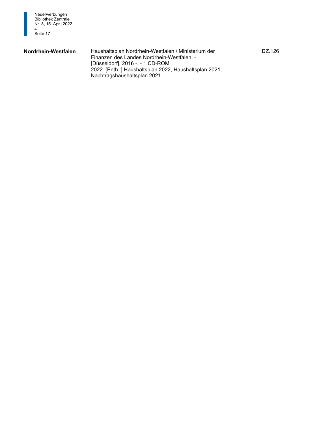

**Nordrhein-Westfalen** Haushaltsplan Nordrhein-Westfalen / Ministerium der DZ.126 Finanzen des Landes Nordrhein-Westfalen. - [Düsseldorf], 2016 -. - 1 CD-ROM 2022. [Enth.:] Haushaltsplan 2022, Haushaltsplan 2021, Nachtragshaushaltsplan 2021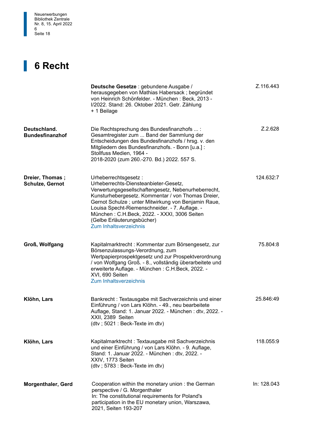

#### **6 Recht**

1

|                                        | Deutsche Gesetze : gebundene Ausgabe /<br>herausgegeben von Mathias Habersack; begründet<br>von Heinrich Schönfelder. - München: Beck, 2013 -<br>I/2022. Stand: 26. Oktober 2021. Getr. Zählung<br>+ 1 Beilage                                                                                                                                                                                     | Z.116.443   |
|----------------------------------------|----------------------------------------------------------------------------------------------------------------------------------------------------------------------------------------------------------------------------------------------------------------------------------------------------------------------------------------------------------------------------------------------------|-------------|
| Deutschland.<br><b>Bundesfinanzhof</b> | Die Rechtsprechung des Bundesfinanzhofs :<br>Gesamtregister zum  Band der Sammlung der<br>Entscheidungen des Bundesfinanzhofs / hrsg. v. den<br>Mitgliedern des Bundesfinanzhofs. - Bonn [u.a.] :<br>Stollfuss Medien, 1964 -<br>2018-2020 (zum 260.-270. Bd.) 2022. 557 S.                                                                                                                        | Z.2.628     |
| Dreier, Thomas;<br>Schulze, Gernot     | Urheberrechtsgesetz:<br>Urheberrechts-Diensteanbieter-Gesetz,<br>Verwertungsgesellschaftengesetz, Nebenurheberrecht,<br>Kunsturhebergesetz. Kommentar / von Thomas Dreier,<br>Gernot Schulze; unter Mitwirkung von Benjamin Raue,<br>Louisa Specht-Riemenschneider. - 7. Auflage. -<br>München: C.H.Beck, 2022. - XXXI, 3006 Seiten<br>(Gelbe Erläuterungsbücher)<br><b>Zum Inhaltsverzeichnis</b> | 124.632:7   |
| Groß, Wolfgang                         | Kapitalmarktrecht: Kommentar zum Börsengesetz, zur<br>Börsenzulassungs-Verordnung, zum<br>Wertpapierprospektgesetz und zur Prospektverordnung<br>/ von Wolfgang Groß. - 8., vollständig überarbeitete und<br>erweiterte Auflage. - München: C.H.Beck, 2022. -<br>XVI, 690 Seiten<br><b>Zum Inhaltsverzeichnis</b>                                                                                  | 75.804:8    |
| Klöhn, Lars                            | Bankrecht: Textausgabe mit Sachverzeichnis und einer<br>Einführung / von Lars Klöhn. - 49., neu bearbeitete<br>Auflage, Stand: 1. Januar 2022. - München : dtv, 2022. -<br>XXII, 2389 Seiten<br>(dtv; 5021 : Beck-Texte im dtv)                                                                                                                                                                    | 25.846:49   |
| Klöhn, Lars                            | Kapitalmarktrecht : Textausgabe mit Sachverzeichnis<br>und einer Einführung / von Lars Klöhn. - 9. Auflage,<br>Stand: 1. Januar 2022. - München: dtv, 2022. -<br>XXIV, 1773 Seiten<br>(dtv; 5783 : Beck-Texte im dtv)                                                                                                                                                                              | 118.055:9   |
| <b>Morgenthaler, Gerd</b>              | Cooperation within the monetary union: the German<br>perspective / G. Morgenthaler<br>In: The constitutional requirements for Poland's<br>participation in the EU monetary union, Warszawa,<br>2021, Seiten 193-207                                                                                                                                                                                | In: 128.043 |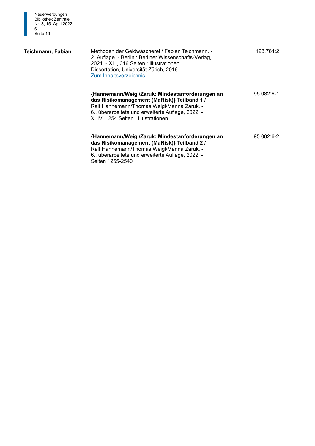

#### **Teichmann, Fabian**

| Methoden der Geldwäscherei / Fabian Teichmann. -<br>2. Auflage. - Berlin : Berliner Wissenschafts-Verlag,<br>2021. - XLI, 316 Seiten: Illustrationen<br>Dissertation, Universität Zürich, 2016<br>Zum Inhaltsverzeichnis                 | 128.761:2  |
|------------------------------------------------------------------------------------------------------------------------------------------------------------------------------------------------------------------------------------------|------------|
| {Hannemann/Weigl/Zaruk: Mindestanforderungen an<br>das Risikomanagement (MaRisk)} Teilband 1 /<br>Ralf Hannemann/Thomas Weigl/Marina Zaruk. -<br>6., überarbeitete und erweiterte Auflage, 2022. -<br>XLIV, 1254 Seiten : Illustrationen | 95.082:6-1 |
| {Hannemann/Weigl/Zaruk: Mindestanforderungen an<br>das Risikomanagement (MaRisk)} Teilband 2 /<br>Ralf Hannemann/Thomas Weigl/Marina Zaruk. -<br>6., überarbeitete und erweiterte Auflage, 2022. -                                       | 95.082:6-2 |

Seiten 1255-2540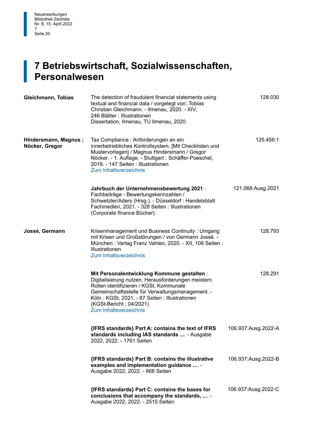#### $\begin{bmatrix} 1 \\ P \end{bmatrix}$ **7 Betriebswirtschaft, Sozialwissenschaften, Personalwesen**

| Gleichmann, Tobias                     | The detection of fraudulent financial statements using<br>textual and financial data / vorgelegt von: Tobias<br>Christian Gleichmann. - Ilmenau, 2020. - XIV,<br>246 Blätter : Illustrationen<br>Dissertation, Ilmenau, TU Ilmenau, 2020                                                               | 128.030             |
|----------------------------------------|--------------------------------------------------------------------------------------------------------------------------------------------------------------------------------------------------------------------------------------------------------------------------------------------------------|---------------------|
| Hindersmann, Magnus;<br>Nöcker, Gregor | Tax Compliance: Anforderungen an ein<br>innerbetriebliches Kontrollsystem. [Mit Checklisten und<br>Mustervorlagen] / Magnus Hindersmann / Gregor<br>Nöcker. - 1. Auflage. - Stuttgart : Schäffer-Poeschel,<br>2019. - 147 Seiten : Illustrationen<br><b>Zum Inhaltsverzeichnis</b>                     | 125.456:1           |
|                                        | Jahrbuch der Unternehmensbewertung 2021:<br>Fachbeiträge - Bewertungskennzahlen /<br>Schwetzler/Aders (Hrsg.). - Düsseldorf : Handelsblatt<br>Fachmedien, 2021. - 328 Seiten : Illustrationen<br>(Corporate finance Bücher)                                                                            | 121.068:Ausg.2021   |
| Jossé, Germann                         | Krisenmanagement und Business Continuity: Umgang<br>mit Krisen und Großstörungen / von Germann Jossé. -<br>München: Verlag Franz Vahlen, 2020. - XII, 108 Seiten:<br>Illustrationen<br>Zum Inhaltsverzeichnis                                                                                          | 128.793             |
|                                        | Mit Personalentwicklung Kommune gestalten:<br>Digitalisierung nutzen. Herausforderungen meistern.<br>Rollen identifizieren / KGSt, Kommunale<br>Gemeinschaftsstelle für Verwaltungsmanagement. -<br>Köln: KGSt, 2021. - 87 Seiten: Illustrationen<br>(KGSt-Bericht; 04/2021)<br>Zum Inhaltsverzeichnis | 128.291             |
|                                        | {IFRS standards} Part A: contains the text of IFRS<br>standards including IAS standards  - Ausgabe<br>2022, 2022. - 1761 Seiten                                                                                                                                                                        | 106.937:Ausg.2022-A |
|                                        | {IFRS standards} Part B: contains the illustrative<br>examples and implementation guidance  -<br>Ausgabe 2022, 2022. - 868 Seiten                                                                                                                                                                      | 106.937:Ausg.2022-B |
|                                        | {IFRS standards} Part C: contains the bases for<br>conclusions that accompany the standards,  -<br>Ausgabe 2022, 2022. - 2515 Seiten                                                                                                                                                                   | 106.937:Ausg.2022-C |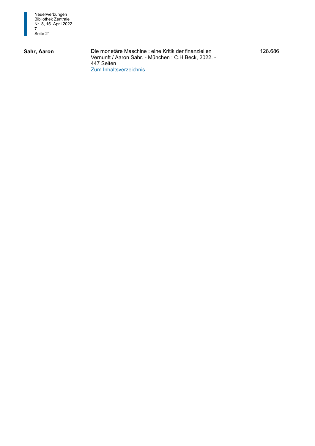

Vernunft / Aaron Sahr. - München : C.H.Beck, 2022. - 447 Seiten **Sahr, Aaron** Die monetäre Maschine : eine Kritik der finanziellen [Zum Inhaltsverzeichnis](https://d-nb.info/1244535680/04) 

128.686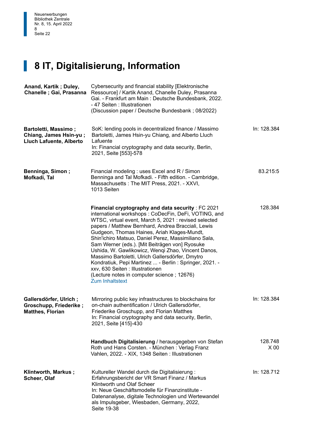## **8 IT, Digitalisierung, Information**

| Anand, Kartik; Duley,<br>Chanelle; Gai, Prasanna                                 | Cybersecurity and financial stability [Elektronische<br>Ressource] / Kartik Anand, Chanelle Duley, Prasanna<br>Gai. - Frankfurt am Main: Deutsche Bundesbank, 2022.<br>- 47 Seiten : Illustrationen<br>(Discussion paper / Deutsche Bundesbank; 08/2022)                                                                                                                                                                                                                                                                                                                                                                                                            |                            |
|----------------------------------------------------------------------------------|---------------------------------------------------------------------------------------------------------------------------------------------------------------------------------------------------------------------------------------------------------------------------------------------------------------------------------------------------------------------------------------------------------------------------------------------------------------------------------------------------------------------------------------------------------------------------------------------------------------------------------------------------------------------|----------------------------|
| <b>Bartoletti, Massimo;</b><br>Chiang, James Hsin-yu;<br>Lluch Lafuente, Alberto | SoK: lending pools in decentralized finance / Massimo<br>Bartoletti, James Hsin-yu Chiang, and Alberto Lluch<br>Lafuente<br>In: Financial cryptography and data security, Berlin,<br>2021, Seite [553]-578                                                                                                                                                                                                                                                                                                                                                                                                                                                          | In: 128.384                |
| Benninga, Simon;<br>Mofkadi, Tal                                                 | Financial modeling : uses Excel and R / Simon<br>Benninga and Tal Mofkadi. - Fifth edition. - Cambridge,<br>Massachusetts: The MIT Press, 2021. - XXVI,<br>1013 Seiten                                                                                                                                                                                                                                                                                                                                                                                                                                                                                              | 83.215:5                   |
|                                                                                  | Financial cryptography and data security : FC 2021<br>international workshops: CoDecFin, DeFi, VOTING, and<br>WTSC, virtual event, March 5, 2021 : revised selected<br>papers / Matthew Bernhard, Andrea Bracciali, Lewis<br>Gudgeon, Thomas Haines, Ariah Klages-Mundt,<br>Shin'ichiro Matsuo, Daniel Perez, Massimiliano Sala,<br>Sam Werner (eds.). [Mit Beiträgen von] Ryosuke<br>Ushida, W. Gawlikowicz, Wenqi Zhao, Vincent Danos,<br>Massimo Bartoletti, Ulrich Gallersdörfer, Dmytro<br>Kondratiuk, Pepi Martinez  - Berlin : Springer, 2021. -<br>xxv, 630 Seiten : Illustrationen<br>(Lecture notes in computer science; 12676)<br><b>Zum Inhaltstext</b> | 128.384                    |
| Gallersdörfer, Ulrich;<br>Groschupp, Friederike;<br><b>Matthes, Florian</b>      | Mirroring public key infrastructures to blockchains for<br>on-chain authentification / Ulrich Gallersdörfer,<br>Friederike Groschupp, and Florian Matthes<br>In: Financial cryptography and data security, Berlin,<br>2021, Seite [415]-430                                                                                                                                                                                                                                                                                                                                                                                                                         | In: 128.384                |
|                                                                                  | Handbuch Digitalisierung / herausgegeben von Stefan<br>Roth und Hans Corsten. - München: Verlag Franz<br>Vahlen, 2022. - XIX, 1348 Seiten : Illustrationen                                                                                                                                                                                                                                                                                                                                                                                                                                                                                                          | 128.748<br>X <sub>00</sub> |
| Klintworth, Markus;<br>Scheer, Olaf                                              | Kultureller Wandel durch die Digitalisierung:<br>Erfahrungsbericht der VR Smart Finanz / Markus<br>Klintworth und Olaf Scheer<br>In: Neue Geschäftsmodelle für Finanzinstitute -<br>Datenanalyse, digitale Technologien und Wertewandel<br>als Impulsgeber, Wiesbaden, Germany, 2022,<br>Seite 19-38                                                                                                                                                                                                                                                                                                                                                                | In: 128.712                |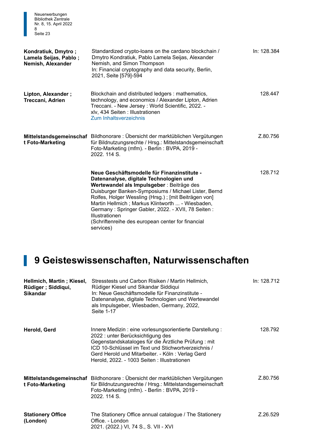| Neuerwerbungen<br><b>Bibliothek Zentrale</b><br>Nr. 8, 15. April 2022<br>8<br>Seite 23 |                                                                                                                                                                                                                                                                                                                                                                                                                                                    |             |
|----------------------------------------------------------------------------------------|----------------------------------------------------------------------------------------------------------------------------------------------------------------------------------------------------------------------------------------------------------------------------------------------------------------------------------------------------------------------------------------------------------------------------------------------------|-------------|
| Kondratiuk, Dmytro;<br>Lamela Seijas, Pablo;<br>Nemish, Alexander                      | Standardized crypto-loans on the cardano blockchain /<br>Dmytro Kondratiuk, Pablo Lamela Seijas, Alexander<br>Nemish, and Simon Thompson<br>In: Financial cryptography and data security, Berlin,<br>2021, Seite [579]-594                                                                                                                                                                                                                         | In: 128.384 |
| Lipton, Alexander;<br>Treccani, Adrien                                                 | Blockchain and distributed ledgers: mathematics,<br>technology, and economics / Alexander Lipton, Adrien<br>Treccani. - New Jersey: World Scientific, 2022. -<br>xlv, 434 Seiten : Illustrationen<br>Zum Inhaltsverzeichnis                                                                                                                                                                                                                        | 128.447     |
| t Foto-Marketing                                                                       | Mittelstandsgemeinschaf Bildhonorare : Übersicht der marktüblichen Vergütungen<br>für Bildnutzungsrechte / Hrsg.: Mittelstandsgemeinschaft<br>Foto-Marketing (mfm). - Berlin: BVPA, 2019 -<br>2022. 114 S.                                                                                                                                                                                                                                         | Z.80.756    |
|                                                                                        | Neue Geschäftsmodelle für Finanzinstitute -<br>Datenanalyse, digitale Technologien und<br>Wertewandel als Impulsgeber : Beiträge des<br>Duisburger Banken-Symposiums / Michael Lister, Bernd<br>Rolfes, Holger Wessling (Hrsg.); [mit Beiträgen von]<br>Martin Hellmich; Markus Klintworth  - Wiesbaden,<br>Germany: Springer Gabler, 2022. - XVII, 78 Seiten:<br>Illustrationen<br>(Schriftenreihe des european center for financial<br>services) | 128.712     |

## 1 **9 Geisteswissenschaften, Naturwissenschaften**

| Hellmich, Martin; Kiesel,<br>Rüdiger ; Siddiqui,<br><b>Sikandar</b> | Stresstests und Carbon Risiken / Martin Hellmich,<br>Rüdiger Kiesel und Sikandar Siddiqui<br>In: Neue Geschäftsmodelle für Finanzinstitute -<br>Datenanalyse, digitale Technologien und Wertewandel<br>als Impulsgeber, Wiesbaden, Germany, 2022,<br>Seite 1-17                                                 | In: 128.712 |
|---------------------------------------------------------------------|-----------------------------------------------------------------------------------------------------------------------------------------------------------------------------------------------------------------------------------------------------------------------------------------------------------------|-------------|
| Herold, Gerd                                                        | Innere Medizin : eine vorlesungsorientierte Darstellung :<br>2022 : unter Berücksichtigung des<br>Gegenstandskataloges für die Ärztliche Prüfung: mit<br>ICD 10-Schlüssel im Text und Stichwortverzeichnis /<br>Gerd Herold und Mitarbeiter. - Köln: Verlag Gerd<br>Herold, 2022. - 1003 Seiten: Illustrationen | 128.792     |
| t Foto-Marketing                                                    | Mittelstandsgemeinschaf Bildhonorare : Übersicht der marktüblichen Vergütungen<br>für Bildnutzungsrechte / Hrsg.: Mittelstandsgemeinschaft<br>Foto-Marketing (mfm). - Berlin: BVPA, 2019 -<br>2022, 114 S.                                                                                                      | Z.80.756    |
| <b>Stationery Office</b><br>(London)                                | The Stationery Office annual catalogue / The Stationery<br>Office. - London<br>2021. (2022.) VI, 74 S., S. VII - XVI                                                                                                                                                                                            | Z.26.529    |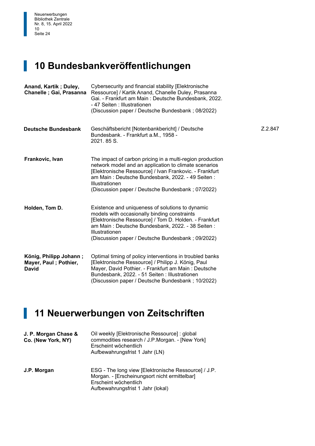## **1 10 Bundesbankveröffentlichungen**

| Anand, Kartik; Duley,<br>Chanelle ; Gai, Prasanna               | Cybersecurity and financial stability [Elektronische<br>Ressource] / Kartik Anand, Chanelle Duley, Prasanna<br>Gai. - Frankfurt am Main: Deutsche Bundesbank, 2022.<br>- 47 Seiten : Illustrationen<br>(Discussion paper / Deutsche Bundesbank; 08/2022)                                                 |         |
|-----------------------------------------------------------------|----------------------------------------------------------------------------------------------------------------------------------------------------------------------------------------------------------------------------------------------------------------------------------------------------------|---------|
| <b>Deutsche Bundesbank</b>                                      | Geschäftsbericht [Notenbankbericht] / Deutsche<br>Bundesbank. - Frankfurt a.M., 1958 -<br>2021.85 S.                                                                                                                                                                                                     | Z.2.847 |
| Frankovic, Ivan                                                 | The impact of carbon pricing in a multi-region production<br>network model and an application to climate scenarios<br>[Elektronische Ressource] / Ivan Frankovic. - Frankfurt<br>am Main: Deutsche Bundesbank, 2022. - 49 Seiten:<br>Illustrationen<br>(Discussion paper / Deutsche Bundesbank; 07/2022) |         |
| Holden, Tom D.                                                  | Existence and uniqueness of solutions to dynamic<br>models with occasionally binding constraints<br>[Elektronische Ressource] / Tom D. Holden. - Frankfurt<br>am Main: Deutsche Bundesbank, 2022. - 38 Seiten:<br>Illustrationen<br>(Discussion paper / Deutsche Bundesbank; 09/2022)                    |         |
| König, Philipp Johann;<br>Mayer, Paul; Pothier,<br><b>David</b> | Optimal timing of policy interventions in troubled banks<br>[Elektronische Ressource] / Philipp J. König, Paul<br>Mayer, David Pothier. - Frankfurt am Main: Deutsche<br>Bundesbank, 2022. - 51 Seiten: Illustrationen<br>(Discussion paper / Deutsche Bundesbank; 10/2022)                              |         |

#### **1 11 Neuerwerbungen von Zeitschriften**

| J. P. Morgan Chase &<br>Co. (New York, NY) | Oil weekly [Elektronische Ressource] : global<br>commodities research / J.P.Morgan. - [New York]<br>Erscheint wöchentlich<br>Aufbewahrungsfrist 1 Jahr (LN)         |
|--------------------------------------------|---------------------------------------------------------------------------------------------------------------------------------------------------------------------|
| J.P. Morgan                                | ESG - The long view [Elektronische Ressource] / J.P.<br>Morgan. - [Erscheinungsort nicht ermittelbar]<br>Erscheint wöchentlich<br>Aufbewahrungsfrist 1 Jahr (lokal) |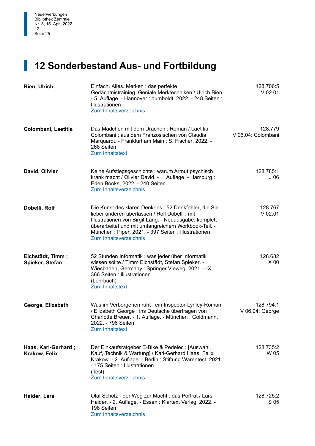#### **12 Sonderbestand Aus- und Fortbildung**

| <b>Bien, Ulrich</b>                  | Einfach. Alles. Merken: das perfekte<br>Gedächtnistraining. Geniale Merktechniken / Ulrich Bien.<br>- 5. Auflage. - Hannover : humboldt, 2022. - 248 Seiten :<br>Illustrationen<br>Zum Inhaltsverzeichnis                                                                                              | 128.706:5<br>$V$ 02.01        |
|--------------------------------------|--------------------------------------------------------------------------------------------------------------------------------------------------------------------------------------------------------------------------------------------------------------------------------------------------------|-------------------------------|
| Colombani, Laetitia                  | Das Mädchen mit dem Drachen : Roman / Laetitia<br>Colombani ; aus dem Französischen von Claudia<br>Marquardt. - Frankfurt am Main: S. Fischer, 2022. -<br>268 Seiten<br><b>Zum Inhaltstext</b>                                                                                                         | 128.779<br>V 06.04: Colombani |
| David, Olivier                       | Keine Aufstiegsgeschichte: warum Armut psychisch<br>krank macht / Olivier David. - 1. Auflage. - Hamburg:<br>Eden Books, 2022. - 240 Seiten<br><b>Zum Inhaltsverzeichnis</b>                                                                                                                           | 128.785:1<br>J 06             |
| Dobelli, Rolf                        | Die Kunst des klaren Denkens: 52 Denkfehler, die Sie<br>lieber anderen überlassen / Rolf Dobelli; mit<br>Illustrationen von Birgit Lang. - Neuausgabe: komplett<br>überarbeitet und mit umfangreichem Workbook-Teil. -<br>München: Piper, 2021. - 397 Seiten: Illustrationen<br>Zum Inhaltsverzeichnis | 128.767<br>$V$ 02.01          |
| Eichstädt, Timm;<br>Spieker, Stefan  | 52 Stunden Informatik : was jeder über Informatik<br>wissen sollte / Timm Eichstädt, Stefan Spieker. -<br>Wiesbaden, Germany: Springer Vieweg, 2021. - IX,<br>366 Seiten: Illustrationen<br>(Lehrbuch)<br><b>Zum Inhaltstext</b>                                                                       | 128.682<br>X <sub>00</sub>    |
| George, Elizabeth                    | Was im Verborgenen ruht : ein Inspector-Lynley-Roman<br>/ Elizabeth George ; ins Deutsche übertragen von<br>Charlotte Breuer. - 1. Auflage. - München: Goldmann<br>2022. - 796 Seiten<br><b>Zum Inhaltstext</b>                                                                                        | 128.794:1<br>V 06.04: George  |
| Haas, Karl-Gerhard;<br>Krakow, Felix | Der Einkaufsratgeber E-Bike & Pedelec : [Auswahl,<br>Kauf, Technik & Wartung] / Karl-Gerhard Haas, Felix<br>Krakow. - 2. Auflage. - Berlin: Stiftung Warentest, 2021.<br>- 175 Seiten : Illustrationen<br>(Test)<br>Zum Inhaltsverzeichnis                                                             | 128.735:2<br>W 05             |
| Haider, Lars                         | Olaf Scholz - der Weg zur Macht : das Porträt / Lars<br>Haider. - 2. Auflage. - Essen: Klartext Verlag, 2022. -<br>198 Seiten<br>Zum Inhaltsverzeichnis                                                                                                                                                | 128.725:2<br>S 05             |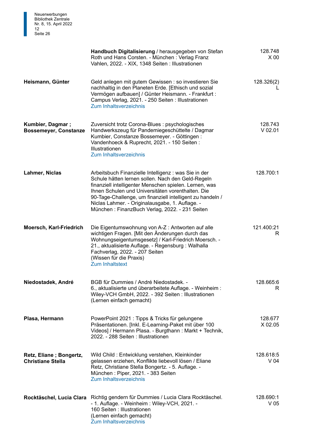|                                                         | Handbuch Digitalisierung / herausgegeben von Stefan<br>Roth und Hans Corsten. - München: Verlag Franz<br>Vahlen, 2022. - XIX, 1348 Seiten : Illustrationen                                                                                                                                                                                                                                 | 128.748<br>$X_{00}$          |
|---------------------------------------------------------|--------------------------------------------------------------------------------------------------------------------------------------------------------------------------------------------------------------------------------------------------------------------------------------------------------------------------------------------------------------------------------------------|------------------------------|
| Heismann, Günter                                        | Geld anlegen mit gutem Gewissen : so investieren Sie<br>nachhaltig in den Planeten Erde. [Ethisch und sozial<br>Vermögen aufbauen] / Günter Heismann. - Frankfurt :<br>Campus Verlag, 2021. - 250 Seiten: Illustrationen<br>Zum Inhaltsverzeichnis                                                                                                                                         | 128.326(2)                   |
| <b>Kumbier, Dagmar;</b><br><b>Bossemeyer, Constanze</b> | Zuversicht trotz Corona-Blues : psychologisches<br>Handwerkszeug für Pandemiegeschüttelte / Dagmar<br>Kumbier, Constanze Bossemeyer. - Göttingen:<br>Vandenhoeck & Ruprecht, 2021. - 150 Seiten:<br>Illustrationen<br>Zum Inhaltsverzeichnis                                                                                                                                               | 128.743<br>$V$ 02.01         |
| Lahmer, Niclas                                          | Arbeitsbuch Finanzielle Intelligenz : was Sie in der<br>Schule hätten lernen sollen. Nach den Geld-Regeln<br>finanziell intelligenter Menschen spielen. Lernen, was<br>Ihnen Schulen und Universitäten vorenthalten. Die<br>90-Tage-Challenge, um finanziell intelligent zu handeln /<br>Niclas Lahmer. - Originalausgabe, 1. Auflage. -<br>München: FinanzBuch Verlag, 2022. - 231 Seiten | 128.700:1                    |
| <b>Moersch, Karl-Friedrich</b>                          | Die Eigentumswohnung von A-Z: Antworten auf alle<br>wichtigen Fragen. [Mit den Änderungen durch das<br>Wohnungseigentumsgesetz] / Karl-Friedrich Moersch. -<br>21., aktualisierte Auflage. - Regensburg : Walhalla<br>Fachverlag, 2022. - 207 Seiten<br>(Wissen für die Praxis)<br><b>Zum Inhaltstext</b>                                                                                  | 121.400:21<br>R              |
| Niedostadek, André                                      | BGB für Dummies / André Niedostadek. -<br>6., aktualisierte und überarbeitete Auflage. - Weinheim :<br>Wiley-VCH GmbH, 2022. - 392 Seiten : Illustrationen<br>(Lernen einfach gemacht)                                                                                                                                                                                                     | 128.665:6<br>R               |
| Plasa, Hermann                                          | PowerPoint 2021 : Tipps & Tricks für gelungene<br>Präsentationen. [Inkl. E-Learning-Paket mit über 100<br>Videos] / Hermann Plasa. - Burgthann : Markt + Technik,<br>2022. - 288 Seiten : Illustrationen                                                                                                                                                                                   | 128.677<br>X 02.05           |
| Retz, Eliane; Bongertz,<br><b>Christiane Stella</b>     | Wild Child: Entwicklung verstehen, Kleinkinder<br>gelassen erziehen, Konflikte liebevoll lösen / Eliane<br>Retz, Christiane Stella Bongertz. - 5. Auflage. -<br>München: Piper, 2021. - 383 Seiten<br>Zum Inhaltsverzeichnis                                                                                                                                                               | 128.618:5<br>V 04            |
| Rocktäschel, Lucia Clara                                | Richtig gendern für Dummies / Lucia Clara Rocktäschel.<br>- 1. Auflage. - Weinheim: Wiley-VCH, 2021. -<br>160 Seiten : Illustrationen<br>(Lernen einfach gemacht)<br>Zum Inhaltsverzeichnis                                                                                                                                                                                                | 128.690:1<br>V <sub>05</sub> |